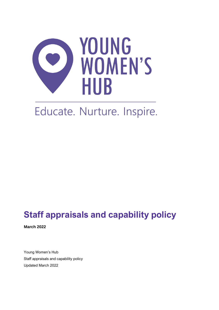

# Educate. Nurture. Inspire.

# **Staff appraisals and capability policy**

**March 2022** 

Young Women's Hub Staff appraisals and capability policy Updated March 2022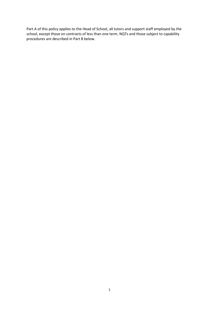Part A of this policy applies to the Head of School, all tutors and support staff employed by the school, except those on contracts of less than one term. NQTs and those subject to capability procedures are described in Part B below.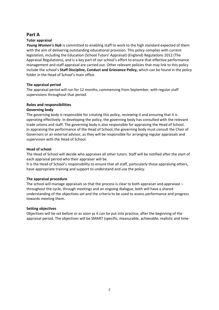# **Part A**

# **Tutor appraisal**

*Young Women's Hub* is committed to enabling staff to work to the high standard expected of them with the aim of delivering outstanding educational provision. This policy complies with current legislation, including the Education (School Tutors' Appraisal) (England) Regulations 2012 (The Appraisal Regulations), and is a key part of our school's effort to ensure that effective performance management and staff appraisal are carried out. Other relevant policies that may link to this policy include the school's **Staff Discipline, Conduct and Grievance Policy,** which can be found in the policy folder in the Head of School's main office.

# **The appraisal period**

The appraisal period will run for 12 months, commencing from September, with regular staff supervisions throughout that period.

# **Roles and responsibilities**

# **Governing body**

The governing body is responsible for creating this policy, reviewing it and ensuring that it is operating effectively. In developing the policy, the governing body has consulted with the relevant trade unions and staff. The governing body is also responsible for appraising the Head of School. In appraising the performance of the Head of School, the governing body must consult the Chair of Governors or an external advisor, as they will be responsible for arranging regular appraisals and supervision with the Head of School.

#### **Head of school**

The Head of School will decide who appraises all other tutors. Staff will be notified after the start of each appraisal period who their appraiser will be.

It is the Head of School's responsibility to ensure that all staff, particularly those appraising others, have appropriate training and support to understand and use the policy.

#### **The appraisal procedure**

The school will manage appraisals so that the process is clear to both appraiser and appraisee – throughout the cycle, through meetings and an ongoing dialogue, both will have a shared understanding of the objectives set and the criteria to be used to assess performance and progress towards meeting them.

#### **Setting objectives**

Objectives will be set before or as soon as it can be put into practice, after the beginning of the appraisal period. The objectives will be SMART (specific, measurable, achievable, realistic and time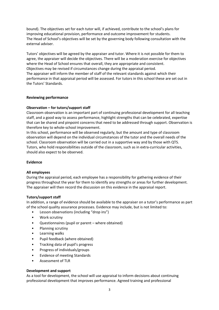bound). The objectives set for each tutor will, if achieved, contribute to the school's plans for improving educational provision, performance and outcome improvement for students. The Head of School's objectives will be set by the governing body following consultation with the external adviser.

Tutors' objectives will be agreed by the appraiser and tutor. Where it is not possible for them to agree, the appraiser will decide the objectives. There will be a moderation exercise for objectives where the Head of School ensures that overall, they are appropriate and consistent. Objectives may be revised if circumstances change during the appraisal period. The appraiser will inform the member of staff of the relevant standards against which their performance in that appraisal period will be assessed. For tutors in this school these are set out in the Tutors' Standards.

# **Reviewing performance**

# **Observation – for tutors/support staff**

Classroom observation is an important part of continuing professional development for all teaching staff, and a good way to assess performance, highlight strengths that can be celebrated, expertise that can be shared and pinpoint concerns that need to be addressed through support. Observation is therefore key to whole-school improvement.

In this school, performance will be observed regularly, but the amount and type of classroom observation will depend on the individual circumstances of the tutor and the overall needs of the school. Classroom observation will be carried out in a supportive way and by those with QTS. Tutors, who hold responsibilities outside of the classroom, such as in extra-curricular activities, should also expect to be observed.

#### **Evidence**

#### **All employees**

During the appraisal period, each employee has a responsibility for gathering evidence of their progress throughout the year for them to identify any strengths or areas for further development. The appraiser will then record the discussion on this evidence in the appraisal report.

#### **Tutors/support staff**

In addition, a range of evidence should be available to the appraiser on a tutor's performance as part of the school quality assurance processes. Evidence may include, but is not limited to:

- Lesson observations (including "drop ins")
- Work scrutiny
- Questionnaires (pupil or parent where obtained)
- Planning scrutiny
- Learning walks
- Pupil feedback (where obtained)
- Tracking data of pupil's progress
- Progress of individuals/groups
- Evidence of meeting Standards
- Assessment of TLR

#### **Development and support**

As a tool for development, the school will use appraisal to inform decisions about continuing professional development that improves performance. Agreed training and professional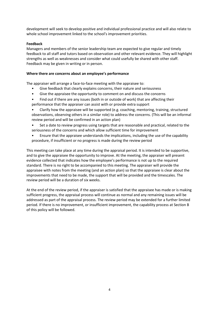development will seek to develop positive and individual professional practice and will also relate to whole school improvement linked to the school's improvement priorities.

# **Feedback**

Managers and members of the senior leadership team are expected to give regular and timely feedback to all staff and tutors based on observation and other relevant evidence. They will highlight strengths as well as weaknesses and consider what could usefully be shared with other staff. Feedback may be given in writing or in person.

#### **Where there are concerns about an employee's performance**

The appraiser will arrange a face-to-face meeting with the appraisee to:

- Give feedback that clearly explains concerns, their nature and seriousness
- Give the appraisee the opportunity to comment on and discuss the concerns
- Find out if there are any issues (both in or outside of work) that are affecting their performance that the appraiser can assist with or provide extra support
- Clarify how the appraisee will be supported (e.g. coaching, mentoring, training, structured observations, observing others in a similar role) to address the concerns. (This will be an informal review period and will be confirmed in an action plan)
- Set a date to review progress using targets that are reasonable and practical, related to the seriousness of the concerns and which allow sufficient time for improvement
- Ensure that the appraisee understands the implications, including the use of the capability procedure, if insufficient or no progress is made during the review period

This meeting can take place at any time during the appraisal period. It is intended to be supportive, and to give the appraisee the opportunity to improve. At the meeting, the appraiser will present evidence collected that indicates how the employee's performance is not up to the required standard. There is no right to be accompanied to this meeting. The appraiser will provide the appraisee with notes from the meeting (and an action plan) so that the appraisee is clear about the improvements that need to be made, the support that will be provided and the timescales. The review period will be a duration of six weeks.

At the end of the review period, if the appraiser is satisfied that the appraisee has made or is making sufficient progress, the appraisal process will continue as normal and any remaining issues will be addressed as part of the appraisal process. The review period may be extended for a further limited period. If there is no improvement, or insufficient improvement, the capability process at Section B of this policy will be followed.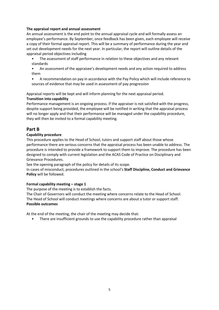# **The appraisal report and annual assessment**

An annual assessment is the end point to the annual appraisal cycle and will formally assess an employee's performance. By September, once feedback has been given, each employee will receive a copy of their formal appraisal report. This will be a summary of performance during the year and set out development needs for the next year. In particular, the report will outline details of the appraisal period objectives including

- The assessment of staff performance in relation to these objectives and any relevant standards
- An assessment of the appraisee's development needs and any action required to address them
- A recommendation on pay in accordance with the Pay Policy which will include reference to sources of evidence that may be used in assessment of pay progression

Appraisal reports will be kept and will inform planning for the next appraisal period.

# **Transition into capability**

Performance management is an ongoing process. If the appraiser is not satisfied with the progress, despite support being provided, the employee will be notified in writing that the appraisal process will no longer apply and that their performance will be managed under the capability procedure, they will then be invited to a formal capability meeting.

# **Part B**

# **Capability procedure**

This procedure applies to the Head of School, tutors and support staff about those whose performance there are serious concerns that the appraisal process has been unable to address. The procedure is intended to provide a framework to support them to improve. The procedure has been designed to comply with current legislation and the ACAS Code of Practice on Disciplinary and Grievance Procedures.

See the opening paragraph of the policy for details of its scope.

In cases of misconduct, procedures outlined in the school's **Staff Discipline, Conduct and Grievance Policy** will be followed.

# **Formal capability meeting - stage 1**

The purpose of the meeting is to establish the facts.

The Chair of Governors will conduct the meeting where concerns relate to the Head of School. The Head of School will conduct meetings where concerns are about a tutor or support staff. **Possible outcomes** 

At the end of the meeting, the chair of the meeting may decide that:

There are insufficient grounds to use the capability procedure rather than appraisal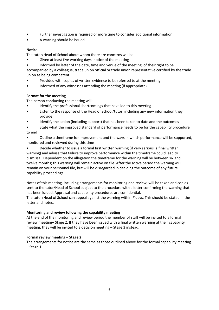- Further investigation is required or more time to consider additional information
- A warning should be issued

# **Notice**

The tutor/Head of School about whom there are concerns will be:

- Given at least five working days' notice of the meeting
- Informed by letter of the date, time and venue of the meeting, of their right to be

accompanied by a colleague, trade union official or trade union representative certified by the trade union as being competent

- Provided with copies of written evidence to be referred to at the meeting
- Informed of any witnesses attending the meeting (if appropriate)

# **Format for the meeting**

The person conducting the meeting will:

- Identify the professional shortcomings that have led to this meeting
- Listen to the response of the Head of School/tutor, including any new information they provide
- Identify the action (including support) that has been taken to date and the outcomes
- State what the improved standard of performance needs to be for the capability procedure to end

• Outline a timeframe for improvement and the ways in which performance will be supported, monitored and reviewed during this time

• Decide whether to issue a formal first written warning (if very serious, a final written warning) and advise that failure to improve performance within the timeframe could lead to dismissal. Dependent on the allegation the timeframe for the warning will be between six and twelve months; this warning will remain active on file. After the active period the warning will remain on your personnel file, but will be disregarded in deciding the outcome of any future capability proceedings

Notes of this meeting, including arrangements for monitoring and review, will be taken and copies sent to the tutor/Head of School subject to the procedure with a letter confirming the warning that has been issued. Appraisal and capability procedures are confidential.

The tutor/Head of School can appeal against the warning within *7* days. This should be stated in the letter and notes.

# **Monitoring and review following the capability meeting**

At the end of the monitoring and review period the member of staff will be invited to a formal review meeting– Stage 2. If they have been issued with a final written warning at their capability meeting, they will be invited to a decision meeting – Stage 3 instead.

# **Formal review meeting – Stage 2**

The arrangements for notice are the same as those outlined above for the formal capability meeting – Stage 1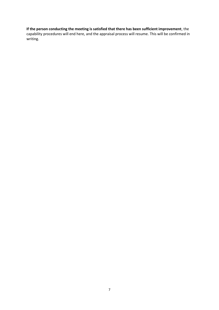# **If the person conducting the meeting is satisfied that there has been sufficient improvement**, the

capability procedures will end here, and the appraisal process will resume. This will be confirmed in writing.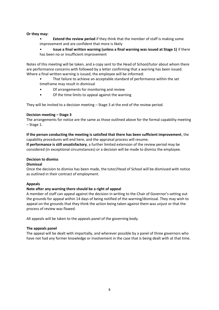#### **Or they may:**

- **Extend the review period** if they think that the member of staff is making some improvement and are confident that more is likely
- **Issue a final written warning (unless a final warning was issued at Stage 1)** if there has been no or insufficient improvement

Notes of this meeting will be taken, and a copy sent to the Head of School/tutor about whom there are performance concerns with followed by a letter confirming that a warning has been issued. Where a final written warning is issued, the employee will be informed:

- That failure to achieve an acceptable standard of performance within the set timeframe may result in dismissal
- Of arrangements for monitoring and review
- Of the time limits to appeal against the warning

They will be invited to a decision meeting – Stage 3 at the end of the review period.

# **Decision meeting – Stage 3**

The arrangements for notice are the same as those outlined above for the formal capability meeting – Stage 1.

# **If the person conducting the meeting is satisfied that there has been sufficient improvement**, the capability procedures will end here, and the appraisal process will resume.

**If performance is still unsatisfactory**, a further limited extension of the review period may be considered (in exceptional circumstances) or a decision will be made to dismiss the employee.

#### **Decision to dismiss**

#### **Dismissal**

Once the decision to dismiss has been made, the tutor/Head of School will be dismissed with notice as outlined in their contract of employment.

# **Appeals**

#### **Note after any warning there should be a right of appeal**

A member of staff can appeal against the decision in writing to the Chair of Governor's setting out the grounds for appeal within 14 days of being notified of the warning/dismissal. They may wish to appeal on the grounds that they think the action being taken against them was unjust or that the process of review was flawed.

All appeals will be taken to the appeals panel of the governing body.

#### **The appeals panel**

The appeal will be dealt with impartially, and wherever possible by a panel of three governors who have not had any former knowledge or involvement in the case that is being dealt with at that time.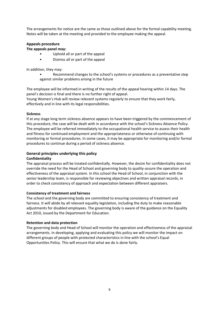The arrangements for notice are the same as those outlined above for the formal capability meeting. Notes will be taken at the meeting and provided to the employee making the appeal.

# **Appeals procedure**

# **The appeals panel may:**

- Uphold all or part of the appeal
- Dismiss all or part of the appeal

In addition, they may:

• Recommend changes to the school's systems or procedures as a preventative step against similar problems arising in the future

The employee will be informed in writing of the results of the appeal hearing within 14 days. The panel's decision is final and there is no further right of appeal.

Young Women's Hub will review relevant systems regularly to ensure that they work fairly, effectively and in line with its legal responsibilities.

# **Sickness**

If at any stage long term sickness absence appears to have been triggered by the commencement of this procedure, the case will be dealt with in accordance with the school's Sickness Absence Policy. The employee will be referred immediately to the occupational health service to assess their health and fitness for continued employment and the appropriateness or otherwise of continuing with monitoring or formal procedures. In some cases, it may be appropriate for monitoring and/or formal procedures to continue during a period of sickness absence.

# **General principles underlying this policy Confidentiality**

The appraisal process will be treated confidentially. However, the desire for confidentiality does not override the need for the Head of School and governing body to quality-assure the operation and effectiveness of the appraisal system. In this school the Head of School, in conjunction with the senior leadership team, is responsible for reviewing objectives and written appraisal records, in order to check consistency of approach and expectation between different appraisers.

# **Consistency of treatment and fairness**

The school and the governing body are committed to ensuring consistency of treatment and fairness. It will abide by all relevant equality legislation, including the duty to make reasonable adjustments for disabled employees. The governing body is aware of the guidance on the Equality Act 2010, issued by the Department for Education.

# **Retention and data protection**

The governing body and Head of School will monitor the operation and effectiveness of the appraisal arrangements. In developing, applying and evaluating this policy we will monitor the impact on different groups of people with protected characteristics in line with the school's Equal Opportunities Policy. This will ensure that what we do is done fairly.